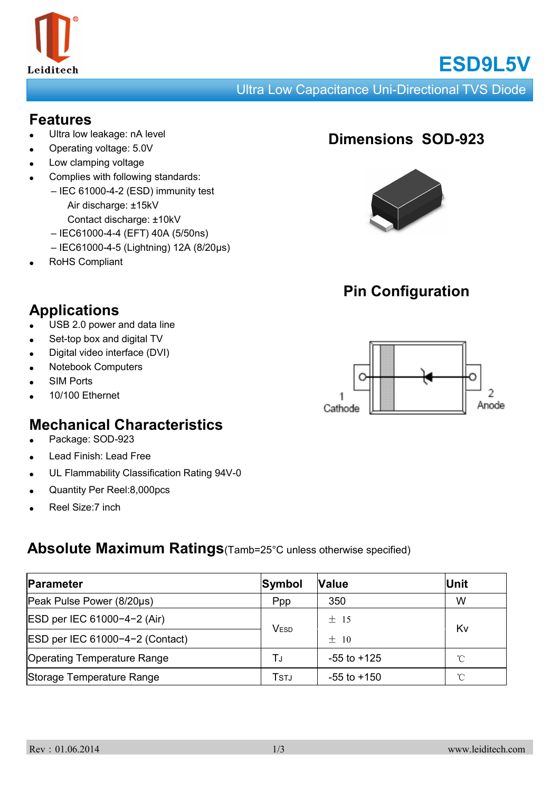

# **ESD9L5V**

Ultra Low Capacitance Uni-Directional TVS Diode

#### **Features**

- Ultra low leakage: nA level
- Operating voltage: 5.0V
- Low clamping voltage
- Complies with following standards:
	- IEC 61000-4-2 (ESD) immunity test Air discharge: ±15kV
		- Contact discharge: ±10kV
		- IEC61000-4-4 (EFT) 40A (5/50ns)
		- IEC61000-4-5 (Lightning) 12A (8/20μs)
- RoHS Compliant

## **Dimensions SOD-923**



## **Pin Configuration**



## **Applications**

- USB 2.0 power and data line
- Set-top box and digital TV
- Digital video interface (DVI)
- **Notebook Computers**
- **SIM Ports**
- 10/100 Ethernet

## **Mechanical Characteristics**

- Package: SOD-923
- Lead Finish: Lead Free
- UL Flammability Classification Rating 94V-0
- Quantity Per Reel:8,000pcs
- Reel Size:7 inch

#### **Absolute Maximum Ratings**(Tamb=25°C unless otherwise specified)

| Parameter                          | Symbol      | <b>Value</b>    | Unit         |  |
|------------------------------------|-------------|-----------------|--------------|--|
| Peak Pulse Power (8/20µs)          | Ppp         | 350             | W            |  |
| ESD per IEC 61000-4-2 (Air)        | <b>VESD</b> | ±15             | Kv           |  |
| ESD per IEC 61000-4-2 (Contact)    |             | $+$ 10          |              |  |
| <b>Operating Temperature Range</b> | T.i         | $-55$ to $+125$ | $^{\circ}$ C |  |
| Storage Temperature Range          | Tstj        | $-55$ to $+150$ | $^{\circ}$ C |  |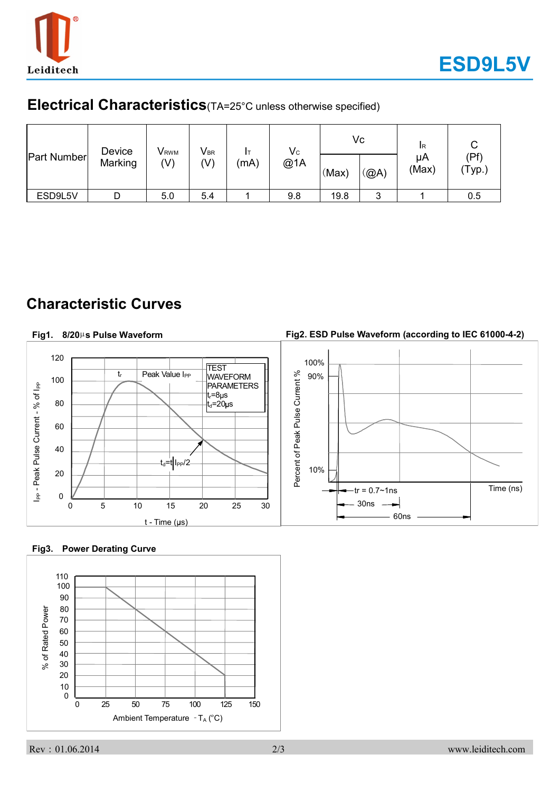

#### **Electrical Characteristics**(TA=25°C unless otherwise specified)

| <b>Part Number</b> | Device<br>Marking | <b>V</b> <sub>RWM</sub><br>(V) | $V_{\text{\tiny BR}}$<br>(V) | (mA) | $\mathsf{V}_{\mathsf{C}}$<br>@1A | (Max) | Vc<br>@A) | <b>IR</b><br>μA<br>(Max) | (Pf)<br>'Typ.) |
|--------------------|-------------------|--------------------------------|------------------------------|------|----------------------------------|-------|-----------|--------------------------|----------------|
| ESD9L5V            |                   | 5.0                            | 5.4                          |      | 9.8                              | 19.8  | 3         |                          | 0.5            |

### **Characteristic Curves**

#### **Fig2. ESD Pulse Waveform (according to IEC 61000-4-2) Fig1. 8/20**µ**s Pulse Waveform** 120 100% **TEST** Percent of Peak Pulse Current % tr Peak Value I<sub>PP</sub> 90% WAVEFORM Percent of Peak Pulse Current % 100 I<sub>PP</sub> - Peak Pulse Current - % of I<sub>PP</sub> PARAMETERS I<sub>PP</sub> - Peak Pulse Current - % of I<sub>PP</sub> t<sub>r</sub>=8µs 80  $t_{d}$ =20 $\mu$ s 60 40  $-t_d=t$  I<sub>PP</sub>/2 10% 20  $-{\rm tr} = 0.7 \sim 1$ ns  $\vert$  Time (ns) 0 30ns 0 5 10 15 20 25 30 60ns  $t - Time (µs)$